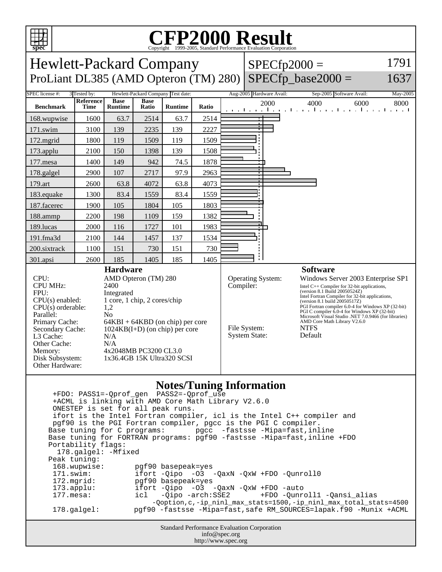

## C<sub>opyright</sub> ©1999-2005, Standard Performance Evaluation Corporation

| <b>PPCC</b>                                                                                                                                                                                                                                                                                                                                                                                                                                                                             |                          |                               |                      | Copyright @1777-2003, Bundard I Criormance Evanuation Corporation |       |                                                                               |  |      |                                                                                                                                             |                                                                                                                                                                                                                                                                                                     |  |  |  |
|-----------------------------------------------------------------------------------------------------------------------------------------------------------------------------------------------------------------------------------------------------------------------------------------------------------------------------------------------------------------------------------------------------------------------------------------------------------------------------------------|--------------------------|-------------------------------|----------------------|-------------------------------------------------------------------|-------|-------------------------------------------------------------------------------|--|------|---------------------------------------------------------------------------------------------------------------------------------------------|-----------------------------------------------------------------------------------------------------------------------------------------------------------------------------------------------------------------------------------------------------------------------------------------------------|--|--|--|
| 1791<br><b>Hewlett-Packard Company</b><br>$SPECfp2000 =$                                                                                                                                                                                                                                                                                                                                                                                                                                |                          |                               |                      |                                                                   |       |                                                                               |  |      |                                                                                                                                             |                                                                                                                                                                                                                                                                                                     |  |  |  |
| $SPECfp\_base2000 =$<br>ProLiant DL385 (AMD Opteron (TM) 280)<br>1637                                                                                                                                                                                                                                                                                                                                                                                                                   |                          |                               |                      |                                                                   |       |                                                                               |  |      |                                                                                                                                             |                                                                                                                                                                                                                                                                                                     |  |  |  |
| <b>SPEC</b> license #:<br>Hewlett-Packard Company Test date:<br>Aug-2005 Hardware Avail:<br>3 Tested by:<br>Sep-2005 Software Avail:<br>May-2005                                                                                                                                                                                                                                                                                                                                        |                          |                               |                      |                                                                   |       |                                                                               |  |      |                                                                                                                                             |                                                                                                                                                                                                                                                                                                     |  |  |  |
| <b>Benchmark</b>                                                                                                                                                                                                                                                                                                                                                                                                                                                                        | <b>Reference</b><br>Time | <b>Base</b><br><b>Runtime</b> | <b>Base</b><br>Ratio | <b>Runtime</b>                                                    | Ratio |                                                                               |  | 2000 | 4000<br>6000<br>التعبيلية بالتعبيلية وبالتعبيل والمعتبا وعبانية                                                                             | 8000                                                                                                                                                                                                                                                                                                |  |  |  |
| 168.wupwise                                                                                                                                                                                                                                                                                                                                                                                                                                                                             | 1600                     | 63.7                          | 2514                 | 63.7                                                              | 2514  |                                                                               |  |      |                                                                                                                                             |                                                                                                                                                                                                                                                                                                     |  |  |  |
| 171.swim                                                                                                                                                                                                                                                                                                                                                                                                                                                                                | 3100                     | 139                           | 2235                 | 139                                                               | 2227  |                                                                               |  |      |                                                                                                                                             |                                                                                                                                                                                                                                                                                                     |  |  |  |
| 172.mgrid                                                                                                                                                                                                                                                                                                                                                                                                                                                                               | 1800                     | 119                           | 1509                 | 119                                                               | 1509  |                                                                               |  |      |                                                                                                                                             |                                                                                                                                                                                                                                                                                                     |  |  |  |
| 173.applu                                                                                                                                                                                                                                                                                                                                                                                                                                                                               | 2100                     | 150                           | 1398                 | 139                                                               | 1508  |                                                                               |  |      |                                                                                                                                             |                                                                                                                                                                                                                                                                                                     |  |  |  |
| 177.mesa                                                                                                                                                                                                                                                                                                                                                                                                                                                                                | 1400                     | 149                           | 942                  | 74.5                                                              | 1878  |                                                                               |  |      |                                                                                                                                             |                                                                                                                                                                                                                                                                                                     |  |  |  |
| 178.galgel                                                                                                                                                                                                                                                                                                                                                                                                                                                                              | 2900                     | 107                           | 2717                 | 97.9                                                              | 2963  |                                                                               |  |      |                                                                                                                                             |                                                                                                                                                                                                                                                                                                     |  |  |  |
| 179.art                                                                                                                                                                                                                                                                                                                                                                                                                                                                                 | 2600                     | 63.8                          | 4072                 | 63.8                                                              | 4073  |                                                                               |  |      |                                                                                                                                             |                                                                                                                                                                                                                                                                                                     |  |  |  |
| 183.equake                                                                                                                                                                                                                                                                                                                                                                                                                                                                              | 1300                     | 83.4                          | 1559                 | 83.4                                                              | 1559  |                                                                               |  |      |                                                                                                                                             |                                                                                                                                                                                                                                                                                                     |  |  |  |
| 187.facerec                                                                                                                                                                                                                                                                                                                                                                                                                                                                             | 1900                     | 105                           | 1804                 | 105                                                               | 1803  |                                                                               |  |      |                                                                                                                                             |                                                                                                                                                                                                                                                                                                     |  |  |  |
| 188.ammp                                                                                                                                                                                                                                                                                                                                                                                                                                                                                | 2200                     | 198                           | 1109                 | 159                                                               | 1382  |                                                                               |  |      |                                                                                                                                             |                                                                                                                                                                                                                                                                                                     |  |  |  |
| 189.lucas                                                                                                                                                                                                                                                                                                                                                                                                                                                                               | 2000                     | 116                           | 1727                 | 101                                                               | 1983  |                                                                               |  |      |                                                                                                                                             |                                                                                                                                                                                                                                                                                                     |  |  |  |
| 191.fma3d                                                                                                                                                                                                                                                                                                                                                                                                                                                                               | 2100                     | 144                           | 1457                 | 137                                                               | 1534  |                                                                               |  |      |                                                                                                                                             |                                                                                                                                                                                                                                                                                                     |  |  |  |
| 200.sixtrack                                                                                                                                                                                                                                                                                                                                                                                                                                                                            | 1100                     | 151                           | 730                  | 151                                                               | 730   |                                                                               |  |      |                                                                                                                                             |                                                                                                                                                                                                                                                                                                     |  |  |  |
| 301.apsi                                                                                                                                                                                                                                                                                                                                                                                                                                                                                | 2600                     | 185                           | 1405                 | 185                                                               | 1405  |                                                                               |  |      |                                                                                                                                             |                                                                                                                                                                                                                                                                                                     |  |  |  |
| <b>Hardware</b><br>CPU:<br>AMD Opteron (TM) 280<br><b>CPU MHz:</b><br>2400<br>FPU:<br>Integrated<br>1 core, 1 chip, 2 cores/chip<br>$CPU(s)$ enabled:<br>$CPU(s)$ orderable:<br>1,2<br>Parallel:<br>N <sub>o</sub><br>Primary Cache:<br>$64KBI + 64KBD$ (on chip) per core<br>Secondary Cache:<br>$1024KB(I+D)$ (on chip) per core<br>L3 Cache:<br>N/A<br>Other Cache:<br>N/A<br>4x2048MB PC3200 CL3.0<br>Memory:<br>Disk Subsystem:<br>$1x36.4GB$ 15K Ultra320 SCSI<br>Other Hardware: |                          |                               |                      |                                                                   |       | <b>Operating System:</b><br>Compiler:<br>File System:<br><b>System State:</b> |  |      | <b>Software</b><br>(version 8.1 Build 20050524Z)<br>(version 8.1 build 20050517Z)<br>AMD Core Math Library V2.6.0<br><b>NTFS</b><br>Default | Windows Server 2003 Enterprise SP1<br>Intel C++ Compiler for 32-bit applications,<br>Intel Fortran Compiler for 32-bit applications,<br>PGI Fortran compiler 6.0-4 for Windows XP (32-bit)<br>PGI C compiler 6.0-4 for Windows XP (32-bit)<br>Microsoft Visual Studio .NET 7.0.9466 (for libraries) |  |  |  |
| <b>Notes/Tuning Information</b><br>PASS2=-Qprof_use<br>+FDO: PASS1=-Qprof_gen<br>+ACML is linking with AMD Core Math Library V2.6.0<br>ONESTEP is set for all peak runs.                                                                                                                                                                                                                                                                                                                |                          |                               |                      |                                                                   |       |                                                                               |  |      |                                                                                                                                             |                                                                                                                                                                                                                                                                                                     |  |  |  |

Standard Performance Evaluation Corporation ifort is the Intel Fortran compiler, icl is the Intel C++ compiler and pgf90 is the PGI Fortran compiler, pgcc is the PGI C compiler. Base tuning for C programs: pgcc -fastsse -Mipa=fast,inline Base tuning for FORTRAN programs: pgf90 -fastsse -Mipa=fast,inline +FDO Portability flags: 178.galgel: -Mfixed Peak tuning: 168.wupwise: pgf90 basepeak=yes 171.swim: ifort -Qipo -O3 -QaxN -QxW +FDO -Qunroll0 172.mgrid: pgf90 basepeak=yes<br>173.applu: ifort -Qipo -03 -173.applu: ifort -Qipo -O3 -QaxN -QxW +FDO -auto<br>177.mesa: icl -Qipo -arch:SSE2 +FDO -Qunre 177.mesa: icl -Qipo -arch:SSE2 +FDO -Qunroll1 -Qansi\_alias -Qoption,c,-ip\_ninl\_max\_stats=1500,-ip\_ninl\_max\_total\_stats=4500 178.galgel: pgf90 -fastsse -Mipa=fast,safe RM\_SOURCES=lapak.f90 -Munix +ACML

info@spec.org http://www.spec.org